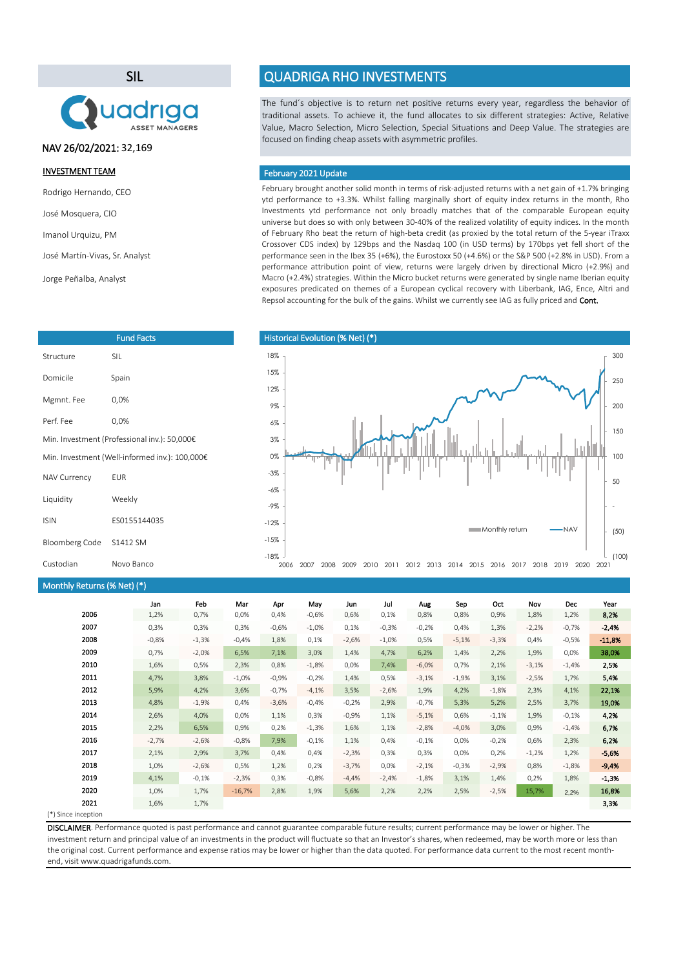SIL



NAV 26/02/2021: 32,169

#### INVESTMENT TEAM

Rodrigo Hernando, CEO

José Mosquera, CIO

Imanol Urquizu, PM

José Martín-Vivas, Sr. Analyst

Jorge Peñalba, Analyst

|                                              | <b>Fund Facts</b>                              |  |  |  |  |
|----------------------------------------------|------------------------------------------------|--|--|--|--|
| Structure                                    | SII.                                           |  |  |  |  |
| Domicile                                     | Spain                                          |  |  |  |  |
| Mgmnt. Fee                                   | 0.0%                                           |  |  |  |  |
| Perf Fee                                     | 0.0%                                           |  |  |  |  |
| Min. Investment (Professional inv.): 50,000€ |                                                |  |  |  |  |
|                                              | Min. Investment (Well-informed inv.): 100,000€ |  |  |  |  |
| <b>NAV Currency</b>                          | EUR                                            |  |  |  |  |
| Liquidity                                    | Weekly                                         |  |  |  |  |
| <b>ISIN</b>                                  | FS0155144035                                   |  |  |  |  |
| Bloomberg Code                               | S1412 SM                                       |  |  |  |  |
| Custodian                                    | Novo Banco                                     |  |  |  |  |

## Monthly Returns (% Net) (\*)

| $m$ , $m$ , $m$ , $m$ , $m$ , $m$ , $m$ |         |         |          |         |         |         |          |         |         |         |         |            |          |
|-----------------------------------------|---------|---------|----------|---------|---------|---------|----------|---------|---------|---------|---------|------------|----------|
|                                         | Jan     | Feb     | Mar      | Apr     | May     | Jun     | Jul      | Aug     | Sep     | Oct     | Nov     | <b>Dec</b> | Year     |
| 2006                                    | 1,2%    | 0,7%    | 0,0%     | 0,4%    | $-0,6%$ | 0,6%    | 0,1%     | 0,8%    | 0,8%    | 0,9%    | 1,8%    | 1,2%       | 8,2%     |
| 2007                                    | 0,3%    | 0,3%    | 0,3%     | $-0,6%$ | $-1,0%$ | 0,1%    | $-0,3%$  | $-0,2%$ | 0,4%    | 1,3%    | $-2,2%$ | $-0,7%$    | $-2,4%$  |
| 2008                                    | $-0,8%$ | $-1,3%$ | $-0,4%$  | 1,8%    | 0,1%    | $-2,6%$ | $-1,0\%$ | 0,5%    | $-5,1%$ | $-3,3%$ | 0,4%    | $-0,5%$    | $-11,8%$ |
| 2009                                    | 0,7%    | $-2,0%$ | 6,5%     | 7,1%    | 3,0%    | 1,4%    | 4,7%     | 6,2%    | 1,4%    | 2,2%    | 1,9%    | 0,0%       | 38,0%    |
| 2010                                    | 1,6%    | 0,5%    | 2,3%     | 0,8%    | $-1,8%$ | 0,0%    | 7,4%     | $-6,0%$ | 0,7%    | 2,1%    | $-3,1%$ | $-1,4%$    | 2,5%     |
| 2011                                    | 4,7%    | 3,8%    | $-1,0%$  | $-0,9%$ | $-0,2%$ | 1,4%    | 0,5%     | $-3,1%$ | $-1,9%$ | 3,1%    | $-2,5%$ | 1,7%       | 5,4%     |
| 2012                                    | 5,9%    | 4,2%    | 3,6%     | $-0,7%$ | $-4,1%$ | 3,5%    | $-2,6%$  | 1,9%    | 4,2%    | $-1,8%$ | 2,3%    | 4,1%       | 22,1%    |
| 2013                                    | 4,8%    | $-1,9%$ | 0,4%     | $-3,6%$ | $-0,4%$ | $-0,2%$ | 2,9%     | $-0,7%$ | 5,3%    | 5,2%    | 2,5%    | 3,7%       | 19,0%    |
| 2014                                    | 2,6%    | 4,0%    | 0,0%     | 1,1%    | 0,3%    | $-0,9%$ | 1,1%     | $-5,1%$ | 0,6%    | $-1,1%$ | 1,9%    | $-0,1%$    | 4,2%     |
| 2015                                    | 2,2%    | 6,5%    | 0,9%     | 0,2%    | $-1,3%$ | 1,6%    | 1,1%     | $-2,8%$ | $-4,0%$ | 3,0%    | 0,9%    | $-1,4%$    | 6,7%     |
| 2016                                    | $-2,7%$ | $-2,6%$ | $-0,8%$  | 7,9%    | $-0,1%$ | 1,1%    | 0,4%     | $-0,1%$ | 0,0%    | $-0,2%$ | 0,6%    | 2,3%       | 6,2%     |
| 2017                                    | 2,1%    | 2,9%    | 3,7%     | 0,4%    | 0,4%    | $-2,3%$ | 0,3%     | 0,3%    | 0,0%    | 0,2%    | $-1,2%$ | 1,2%       | $-5,6%$  |
| 2018                                    | 1,0%    | $-2,6%$ | 0,5%     | 1,2%    | 0,2%    | $-3,7%$ | 0,0%     | $-2,1%$ | $-0,3%$ | $-2,9%$ | 0,8%    | $-1,8%$    | $-9,4%$  |
| 2019                                    | 4,1%    | $-0,1%$ | $-2,3%$  | 0,3%    | $-0,8%$ | $-4,4%$ | $-2,4%$  | $-1,8%$ | 3,1%    | 1,4%    | 0,2%    | 1,8%       | $-1,3%$  |
| 2020                                    | 1,0%    | 1,7%    | $-16,7%$ | 2,8%    | 1,9%    | 5,6%    | 2,2%     | 2,2%    | 2,5%    | $-2,5%$ | 15,7%   | 2,2%       | 16,8%    |
| 2021                                    | 1,6%    | 1,7%    |          |         |         |         |          |         |         |         |         |            | 3,3%     |
| Since incention                         |         |         |          |         |         |         |          |         |         |         |         |            |          |

(\*) Since inception

DISCLAIMER. Performance quoted is past performance and cannot guarantee comparable future results; current performance may be lower or higher. The investment return and principal value of an investments in the product will fluctuate so that an Investor's shares, when redeemed, may be worth more or less than the original cost. Current performance and expense ratios may be lower or higher than the data quoted. For performance data current to the most recent monthend, visit www.quadrigafunds.com.

# QUADRIGA RHO INVESTMENTS

The fund´s objective is to return net positive returns every year, regardless the behavior of traditional assets. To achieve it, the fund allocates to six different strategies: Active, Relative Value, Macro Selection, Micro Selection, Special Situations and Deep Value. The strategies are focused on finding cheap assets with asymmetric profiles.

#### February 2021 Update

February brought another solid month in terms of risk-adjusted returns with a net gain of +1.7% bringing ytd performance to +3.3%. Whilst falling marginally short of equity index returns in the month, Rho Investments ytd performance not only broadly matches that of the comparable European equity universe but does so with only between 30-40% of the realized volatility of equity indices. In the month of February Rho beat the return of high-beta credit (as proxied by the total return of the 5-year iTraxx Crossover CDS index) by 129bps and the Nasdaq 100 (in USD terms) by 170bps yet fell short of the performance seen in the Ibex 35 (+6%), the Eurostoxx 50 (+4.6%) or the S&P 500 (+2.8% in USD). From a performance attribution point of view, returns were largely driven by directional Micro (+2.9%) and Macro (+2.4%) strategies. Within the Micro bucket returns were generated by single name Iberian equity exposures predicated on themes of a European cyclical recovery with Liberbank, IAG, Ence, Altri and Repsol accounting for the bulk of the gains. Whilst we currently see IAG as fully priced and Cont.

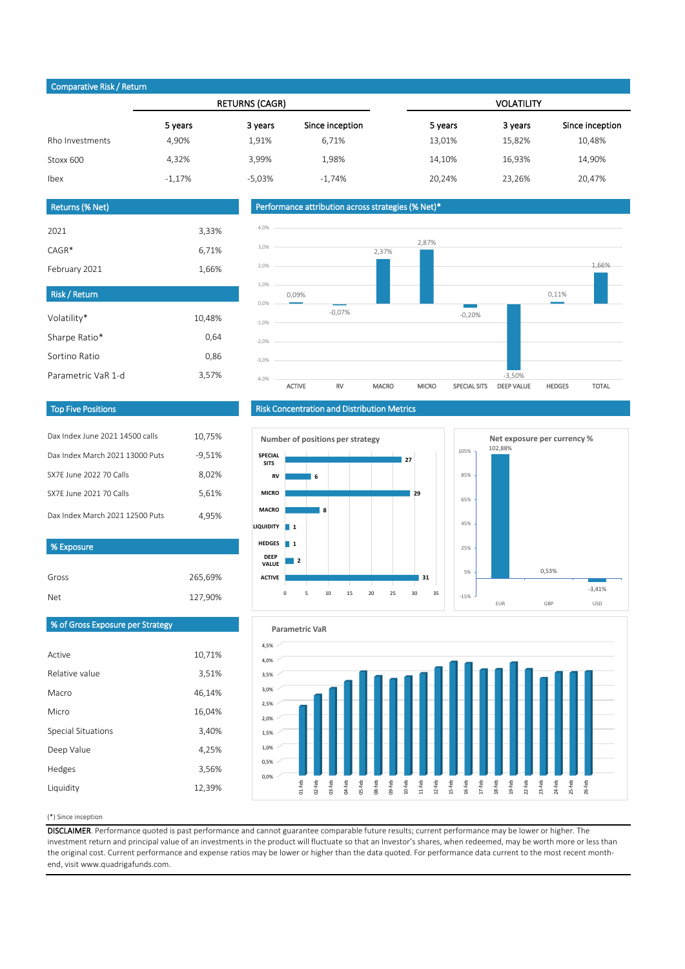### Comparative Risk / Return

|                 |          | <b>RETURNS (CAGR)</b> |                 | <b>VOLATILITY</b> |         |                 |  |
|-----------------|----------|-----------------------|-----------------|-------------------|---------|-----------------|--|
|                 | 5 years  | 3 years               | Since inception | 5 years           | 3 years | Since inception |  |
| Rho Investments | 4,90%    | 1,91%                 | 6,71%           | 13,01%            | 15,82%  | 10,48%          |  |
| Stoxx 600       | 4,32%    | 3,99%                 | 1,98%           | 14,10%            | 16,93%  | 14,90%          |  |
| Ibex            | $-1.17%$ | $-5.03%$              | $-1.74%$        | 20.24%            | 23,26%  | 20,47%          |  |

#### Returns (% Net)

| 3,33%  |
|--------|
| 6,71%  |
| 1,66%  |
|        |
|        |
| 10,48% |
| 0,64   |
| 0,86   |
|        |

### Performance attribution across strategies (% Net)\*



#### Top Five Positions

| Dax Index June 2021 14500 calls | 10.75%   |
|---------------------------------|----------|
| Dax Index March 2021 13000 Puts | $-9,51%$ |
| SX7E June 2022 70 Calls         | 8,02%    |
| SX7F June 2021 70 Calls         | 5,61%    |
| Dax Index March 2021 12500 Puts | 4.95%    |

### % Exposure

| Gross | 265,69% |
|-------|---------|
| Net   | 127,90% |

# Risk Concentration and Distribution Metrics







# % of Gross Exposure per Strategy

| Active             | 10,71% |
|--------------------|--------|
| Relative value     | 3,51%  |
| Macro              | 46,14% |
| Micro              | 16,04% |
| Special Situations | 3,40%  |
| Deep Value         | 4,25%  |
| Hedges             | 3,56%  |
| Liquidity          | 12,39% |

#### (\*) Since inception

DISCLAIMER. Performance quoted is past performance and cannot guarantee comparable future results; current performance may be lower or higher. The investment return and principal value of an investments in the product will fluctuate so that an Investor's shares, when redeemed, may be worth more or less than the original cost. Current performance and expense ratios may be lower or higher than the data quoted. For performance data current to the most recent monthend, visit www.quadrigafunds.com.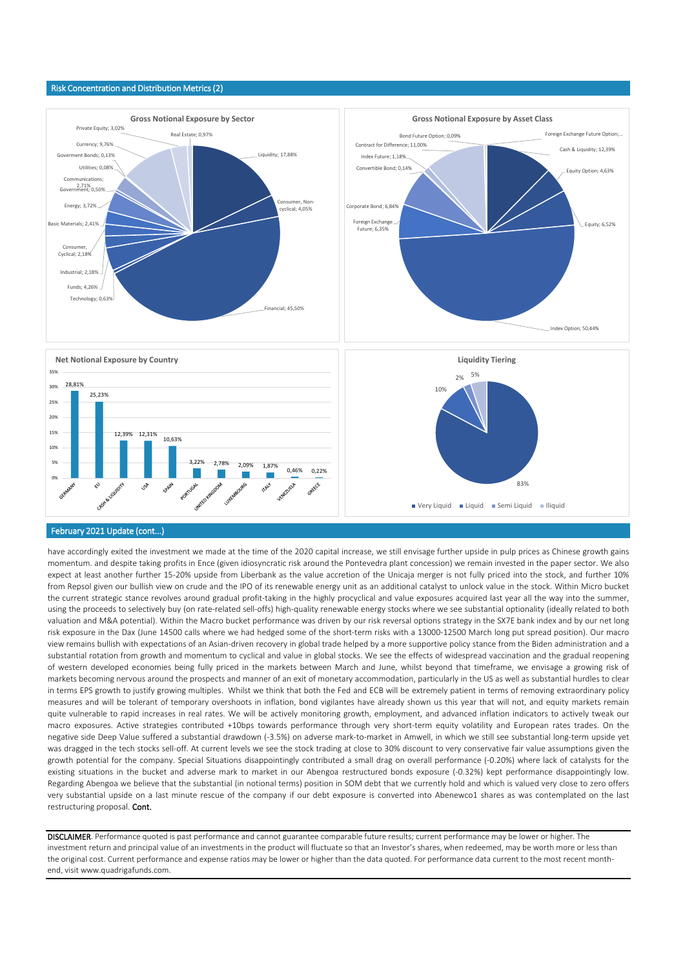#### Risk Concentration and Distribution Metrics (2)



#### February 2021 Update (cont...)

have accordingly exited the investment we made at the time of the 2020 capital increase, we still envisage further upside in pulp prices as Chinese growth gains momentum. and despite taking profits in Ence (given idiosyncratic risk around the Pontevedra plant concession) we remain invested in the paper sector. We also expect at least another further 15-20% upside from Liberbank as the value accretion of the Unicaja merger is not fully priced into the stock, and further 10% from Repsol given our bullish view on crude and the IPO of its renewable energy unit as an additional catalyst to unlock value in the stock. Within Micro bucket the current strategic stance revolves around gradual profit-taking in the highly procyclical and value exposures acquired last year all the way into the summer, using the proceeds to selectively buy (on rate-related sell-offs) high-quality renewable energy stocks where we see substantial optionality (ideally related to both valuation and M&A potential). Within the Macro bucket performance was driven by our risk reversal options strategy in the SX7E bank index and by our net long risk exposure in the Dax (June 14500 calls where we had hedged some of the short-term risks with a 13000-12500 March long put spread position). Our macro view remains bullish with expectations of an Asian-driven recovery in global trade helped by a more supportive policy stance from the Biden administration and a substantial rotation from growth and momentum to cyclical and value in global stocks. We see the effects of widespread vaccination and the gradual reopening of western developed economies being fully priced in the markets between March and June, whilst beyond that timeframe, we envisage a growing risk of markets becoming nervous around the prospects and manner of an exit of monetary accommodation, particularly in the US as well as substantial hurdles to clear in terms EPS growth to justify growing multiples. Whilst we think that both the Fed and ECB will be extremely patient in terms of removing extraordinary policy measures and will be tolerant of temporary overshoots in inflation, bond vigilantes have already shown us this year that will not, and equity markets remain quite vulnerable to rapid increases in real rates. We will be actively monitoring growth, employment, and advanced inflation indicators to actively tweak our macro exposures. Active strategies contributed +10bps towards performance through very short-term equity volatility and European rates trades. On the negative side Deep Value suffered a substantial drawdown (-3.5%) on adverse mark-to-market in Amwell, in which we still see substantial long-term upside yet was dragged in the tech stocks sell-off. At current levels we see the stock trading at close to 30% discount to very conservative fair value assumptions given the growth potential for the company. Special Situations disappointingly contributed a small drag on overall performance (-0.20%) where lack of catalysts for the existing situations in the bucket and adverse mark to market in our Abengoa restructured bonds exposure (-0.32%) kept performance disappointingly low. Regarding Abengoa we believe that the substantial (in notional terms) position in SOM debt that we currently hold and which is valued very close to zero offers very substantial upside on a last minute rescue of the company if our debt exposure is converted into Abenewco1 shares as was contemplated on the last restructuring proposal. Cont.

DISCLAIMER. Performance quoted is past performance and cannot guarantee comparable future results; current performance may be lower or higher. The investment return and principal value of an investments in the product will fluctuate so that an Investor's shares, when redeemed, may be worth more or less than the original cost. Current performance and expense ratios may be lower or higher than the data quoted. For performance data current to the most recent monthend, visit www.quadrigafunds.com.